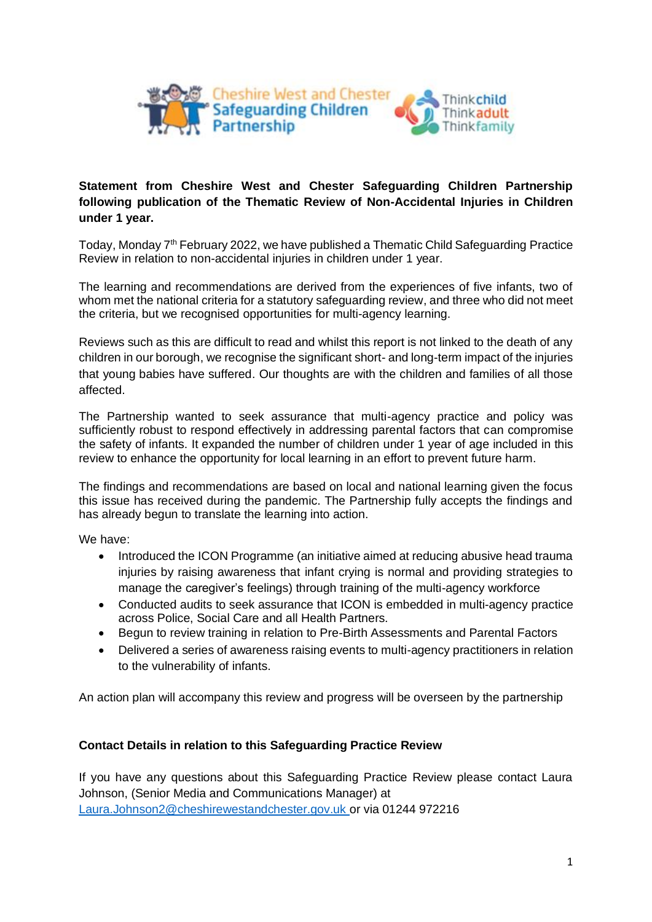

#### **Statement from Cheshire West and Chester Safeguarding Children Partnership following publication of the Thematic Review of Non-Accidental Injuries in Children under 1 year.**

Today, Monday  $7<sup>th</sup>$  February 2022, we have published a Thematic Child Safeguarding Practice Review in relation to non-accidental injuries in children under 1 year.

The learning and recommendations are derived from the experiences of five infants, two of whom met the national criteria for a statutory safeguarding review, and three who did not meet the criteria, but we recognised opportunities for multi-agency learning.

Reviews such as this are difficult to read and whilst this report is not linked to the death of any children in our borough, we recognise the significant short- and long-term impact of the injuries that young babies have suffered. Our thoughts are with the children and families of all those affected.

The Partnership wanted to seek assurance that multi-agency practice and policy was sufficiently robust to respond effectively in addressing parental factors that can compromise the safety of infants. It expanded the number of children under 1 year of age included in this review to enhance the opportunity for local learning in an effort to prevent future harm.

The findings and recommendations are based on local and national learning given the focus this issue has received during the pandemic. The Partnership fully accepts the findings and has already begun to translate the learning into action.

We have:

- Introduced the ICON Programme (an initiative aimed at reducing abusive head trauma injuries by raising awareness that infant crying is normal and providing strategies to manage the caregiver's feelings) through training of the multi-agency workforce
- Conducted audits to seek assurance that ICON is embedded in multi-agency practice across Police, Social Care and all Health Partners.
- Begun to review training in relation to Pre-Birth Assessments and Parental Factors
- Delivered a series of awareness raising events to multi-agency practitioners in relation to the vulnerability of infants.

An action plan will accompany this review and progress will be overseen by the partnership

#### **Contact Details in relation to this Safeguarding Practice Review**

If you have any questions about this Safeguarding Practice Review please contact Laura Johnson, (Senior Media and Communications Manager) at [Laura.Johnson2@cheshirewestandchester.gov.uk](mailto:Laura.Johnson2@cheshirewestandchester.gov.uk) or via 01244 972216